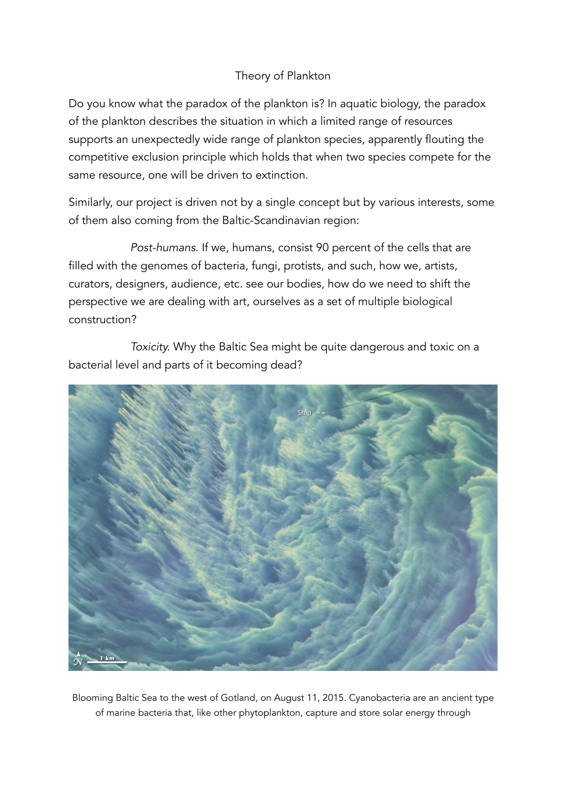## Theory of Plankton

Do you know what the paradox of the plankton is? In aquatic biology, the paradox of the plankton describes the situation in which a limited range of resources supports an unexpectedly wide range of plankton species, apparently flouting the competitive exclusion principle which holds that when two species compete for the same resource, one will be driven to extinction.

Similarly, our project is driven not by a single concept but by various interests, some of them also coming from the Baltic-Scandinavian region:

*Post-humans.* If we, humans, consist 90 percent of the cells that are filled with the genomes of bacteria, fungi, protists, and such, how we, artists, curators, designers, audience, etc. see our bodies, how do we need to shift the perspective we are dealing with art, ourselves as a set of multiple biological construction?

*Toxicity.* Why the Baltic Sea might be quite dangerous and toxic on a bacterial level and parts of it becoming dead?



Blooming Baltic Sea to the west of Gotland, on August 11, 2015. Cyanobacteria are an ancient type of marine bacteria that, like other phytoplankton, capture and store solar energy through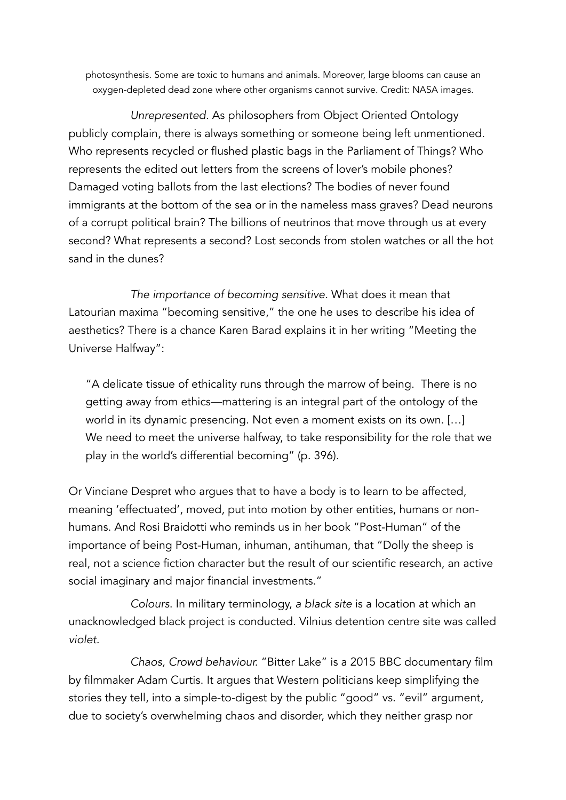photosynthesis. Some are toxic to humans and animals. Moreover, large blooms can cause an oxygen-depleted dead zone where other organisms cannot survive. Credit: NASA images.

*Unrepresented.* As philosophers from Object Oriented Ontology publicly complain, there is always something or someone being left unmentioned. Who represents recycled or flushed plastic bags in the Parliament of Things? Who represents the edited out letters from the screens of lover's mobile phones? Damaged voting ballots from the last elections? The bodies of never found immigrants at the bottom of the sea or in the nameless mass graves? Dead neurons of a corrupt political brain? The billions of neutrinos that move through us at every second? What represents a second? Lost seconds from stolen watches or all the hot sand in the dunes?

*The importance of becoming sensitive.* What does it mean that Latourian maxima "becoming sensitive," the one he uses to describe his idea of aesthetics? There is a chance Karen Barad explains it in her writing "Meeting the Universe Halfway":

"A delicate tissue of ethicality runs through the marrow of being. There is no getting away from ethics—mattering is an integral part of the ontology of the world in its dynamic presencing. Not even a moment exists on its own. […] We need to meet the universe halfway, to take responsibility for the role that we play in the world's differential becoming" (p. 396).

Or Vinciane Despret who argues that to have a body is to learn to be affected, meaning 'effectuated', moved, put into motion by other entities, humans or nonhumans. And Rosi Braidotti who reminds us in her book "Post-Human" of the importance of being Post-Human, inhuman, antihuman, that "Dolly the sheep is real, not a science fiction character but the result of our scientific research, an active social imaginary and major financial investments."

*Colours*. In military terminology, *a black site* is a location at which an unacknowledged black project is conducted. Vilnius detention centre site was called *violet*.

*Chaos, Crowd behaviour.* "Bitter Lake" is a 2015 BBC documentary film by filmmaker Adam Curtis. It argues that Western politicians keep simplifying the stories they tell, into a simple-to-digest by the public "good" vs. "evil" argument, due to society's overwhelming chaos and disorder, which they neither grasp nor